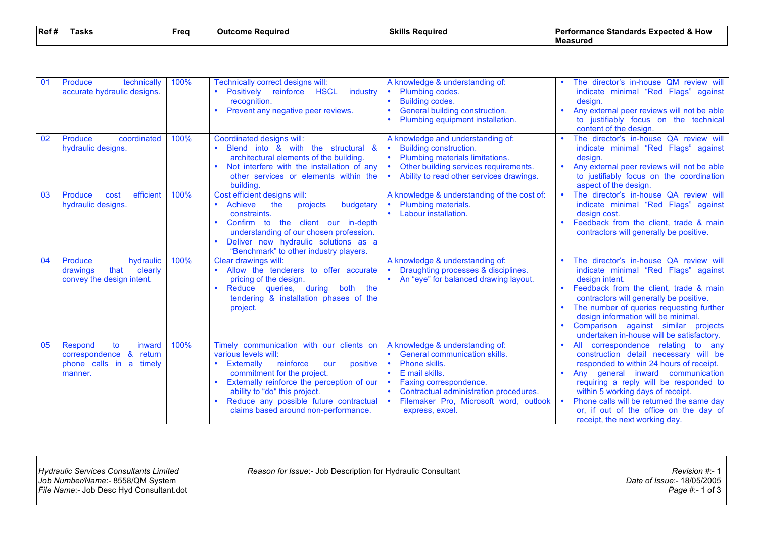| Ref# | Tasks | Frea | <b>Outcome Required</b> | <b>Skills Required</b> | <b>Performance Standards Expected &amp; How</b> |
|------|-------|------|-------------------------|------------------------|-------------------------------------------------|
|      |       |      |                         |                        | Measured                                        |

| 01 | Produce<br>technically<br>accurate hydraulic designs.                                       | 100% | Technically correct designs will:<br>• Positively reinforce HSCL<br>industry<br>recognition.<br>Prevent any negative peer reviews.                                                                                                                                                                             | A knowledge & understanding of:<br>• Plumbing codes.<br>Building codes.<br>General building construction.<br>Plumbing equipment installation.                                                                                                                               |           | The director's in-house QM review will<br>indicate minimal "Red Flags" against<br>design.<br>Any external peer reviews will not be able<br>to justifiably focus on the technical<br>content of the design.                                                                                                                                                                   |
|----|---------------------------------------------------------------------------------------------|------|----------------------------------------------------------------------------------------------------------------------------------------------------------------------------------------------------------------------------------------------------------------------------------------------------------------|-----------------------------------------------------------------------------------------------------------------------------------------------------------------------------------------------------------------------------------------------------------------------------|-----------|------------------------------------------------------------------------------------------------------------------------------------------------------------------------------------------------------------------------------------------------------------------------------------------------------------------------------------------------------------------------------|
| 02 | Produce<br>coordinated<br>hydraulic designs.                                                | 100% | Coordinated designs will:<br>Blend into & with the structural &<br>architectural elements of the building.<br>Not interfere with the installation of any<br>other services or elements within the<br>building.                                                                                                 | A knowledge and understanding of:<br><b>Building construction.</b><br>Plumbing materials limitations.<br>Other building services requirements.<br>$\bullet$<br>Ability to read other services drawings.                                                                     | $\bullet$ | The director's in-house QA review will<br>indicate minimal "Red Flags" against<br>design.<br>Any external peer reviews will not be able<br>to justifiably focus on the coordination<br>aspect of the design.                                                                                                                                                                 |
| 03 | efficient<br>Produce<br>cost<br>hydraulic designs.                                          | 100% | Cost efficient designs will:<br>Achieve<br>the<br>budgetary<br>projects<br>constraints.<br>Confirm to the client our in-depth<br>$\bullet$<br>understanding of our chosen profession.<br>Deliver new hydraulic solutions as a<br>"Benchmark" to other industry players.                                        | A knowledge & understanding of the cost of:<br>Plumbing materials.<br>• Labour installation.                                                                                                                                                                                |           | The director's in-house QA review will<br>indicate minimal "Red Flags" against<br>design cost.<br>Feedback from the client, trade & main<br>contractors will generally be positive.                                                                                                                                                                                          |
| 04 | hydraulic<br>Produce<br>clearly<br>drawings<br>that<br>convey the design intent.            | 100% | Clear drawings will:<br>Allow the tenderers to offer accurate<br>$\bullet$<br>pricing of the design.<br>Reduce queries, during<br>both the<br>$\bullet$<br>tendering & installation phases of the<br>project.                                                                                                  | A knowledge & understanding of:<br>Draughting processes & disciplines.<br>• An "eye" for balanced drawing layout.                                                                                                                                                           |           | The director's in-house QA review will<br>indicate minimal "Red Flags" against<br>design intent.<br>Feedback from the client, trade & main<br>contractors will generally be positive.<br>The number of queries requesting further<br>design information will be minimal.<br>Comparison against similar projects<br>undertaken in-house will be satisfactory.                 |
| 05 | Respond<br>to<br>inward<br>correspondence &<br>return<br>phone calls in a timely<br>manner. | 100% | Timely communication with our clients on<br>various levels will:<br>Externally<br>reinforce<br>positive<br>our<br>commitment for the project.<br>Externally reinforce the perception of our<br>ability to "do" this project.<br>Reduce any possible future contractual<br>claims based around non-performance. | A knowledge & understanding of:<br>General communication skills.<br>$\bullet$<br>Phone skills.<br>E mail skills.<br>$\bullet$<br>Faxing correspondence.<br>Contractual administration procedures.<br>Filemaker Pro, Microsoft word, outlook<br>$\bullet$<br>express, excel. |           | correspondence relating<br>All<br>to<br>any<br>construction detail necessary will be<br>responded to within 24 hours of receipt.<br>Any general inward communication<br>requiring a reply will be responded to<br>within 5 working days of receipt.<br>Phone calls will be returned the same day<br>or, if out of the office on the day of<br>receipt, the next working day. |

*Reason for Issue*:- Job Description for Hydraulic Consultant *Reason for Issue*:- 1<br>Date of *Issue*:- 18/05/2005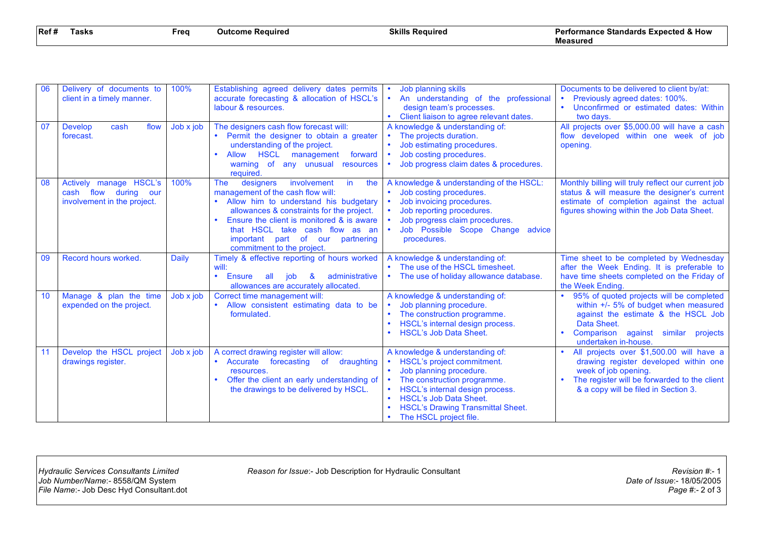| Ref# | lasks | Frea | Outcome Required | Skills<br>; Reauired | <b>Performance Standards Expected &amp; How</b> |
|------|-------|------|------------------|----------------------|-------------------------------------------------|
|      |       |      |                  |                      | Measurec                                        |

| 06 | Delivery of documents to<br>client in a timely manner.                        | 100%         | Establishing agreed delivery dates permits<br>accurate forecasting & allocation of HSCL's<br>labour & resources.                                                                                                                                                                                                                   | Job planning skills<br>An understanding of the professional<br>design team's processes.<br>Client liaison to agree relevant dates.                                                                                                                                | Documents to be delivered to client by/at:<br>Previously agreed dates: 100%.<br>Unconfirmed or estimated dates: Within<br>$\bullet$<br>two days.                                                                          |
|----|-------------------------------------------------------------------------------|--------------|------------------------------------------------------------------------------------------------------------------------------------------------------------------------------------------------------------------------------------------------------------------------------------------------------------------------------------|-------------------------------------------------------------------------------------------------------------------------------------------------------------------------------------------------------------------------------------------------------------------|---------------------------------------------------------------------------------------------------------------------------------------------------------------------------------------------------------------------------|
| 07 | <b>Develop</b><br>cash<br>flow<br>forecast.                                   | Job x job    | The designers cash flow forecast will:<br>Permit the designer to obtain a greater<br>$\bullet$<br>understanding of the project.<br>Allow HSCL<br>forward<br>management<br>$\bullet$<br>warning of any unusual<br>resources<br>required                                                                                             | A knowledge & understanding of:<br>The projects duration.<br>Job estimating procedures.<br>Job costing procedures.<br>Job progress claim dates & procedures.                                                                                                      | All projects over \$5,000.00 will have a cash<br>flow developed within one week of job<br>opening.                                                                                                                        |
| 08 | Actively manage HSCL's<br>cash flow during our<br>involvement in the project. | 100%         | involvement<br>designers<br>the<br><b>The</b><br>in<br>management of the cash flow will:<br>Allow him to understand his budgetary<br>allowances & constraints for the project.<br>Ensure the client is monitored & is aware<br>that HSCL take cash flow as an<br>important part of our<br>partnering<br>commitment to the project. | A knowledge & understanding of the HSCL:<br>Job costing procedures.<br>Job invoicing procedures.<br>Job reporting procedures.<br>Job progress claim procedures.<br>Job Possible Scope Change<br>advice<br>$\bullet$<br>procedures.                                | Monthly billing will truly reflect our current job<br>status & will measure the designer's current<br>estimate of completion against the actual<br>figures showing within the Job Data Sheet.                             |
| 09 | Record hours worked.                                                          | <b>Daily</b> | Timely & effective reporting of hours worked<br>will:<br>$\bullet$<br>administrative<br>Ensure<br>all job<br>$\mathbf{8}$<br>allowances are accurately allocated.                                                                                                                                                                  | A knowledge & understanding of:<br>The use of the HSCL timesheet.<br>The use of holiday allowance database.                                                                                                                                                       | Time sheet to be completed by Wednesday<br>after the Week Ending. It is preferable to<br>have time sheets completed on the Friday of<br>the Week Ending.                                                                  |
| 10 | Manage & plan the time<br>expended on the project.                            | Job x job    | Correct time management will:<br>Allow consistent estimating data to be<br>$\bullet$<br>formulated.                                                                                                                                                                                                                                | A knowledge & understanding of:<br>Job planning procedure.<br>The construction programme.<br>HSCL's internal design process.<br><b>HSCL's Job Data Sheet.</b>                                                                                                     | 95% of quoted projects will be completed<br>$\bullet$<br>within +/- 5% of budget when measured<br>against the estimate & the HSCL Job<br>Data Sheet.<br>Comparison<br>against similar<br>projects<br>undertaken in-house. |
| 11 | Develop the HSCL project<br>drawings register.                                | Job x job    | A correct drawing register will allow:<br>Accurate<br>forecasting of draughting<br>$\bullet$<br>resources.<br>Offer the client an early understanding of<br>$\bullet$<br>the drawings to be delivered by HSCL.                                                                                                                     | A knowledge & understanding of:<br>HSCL's project commitment.<br>Job planning procedure.<br>The construction programme.<br>HSCL's internal design process.<br><b>HSCL's Job Data Sheet.</b><br><b>HSCL's Drawing Transmittal Sheet.</b><br>The HSCL project file. | All projects over \$1,500.00 will have a<br>drawing register developed within one<br>week of job opening.<br>The register will be forwarded to the client<br>& a copy will be filed in Section 3.                         |

*Reason for Issue*:- Job Description for Hydraulic Consultant *Reason for Issue*:- 1<br>Date of *Issue*:- 18/05/2005